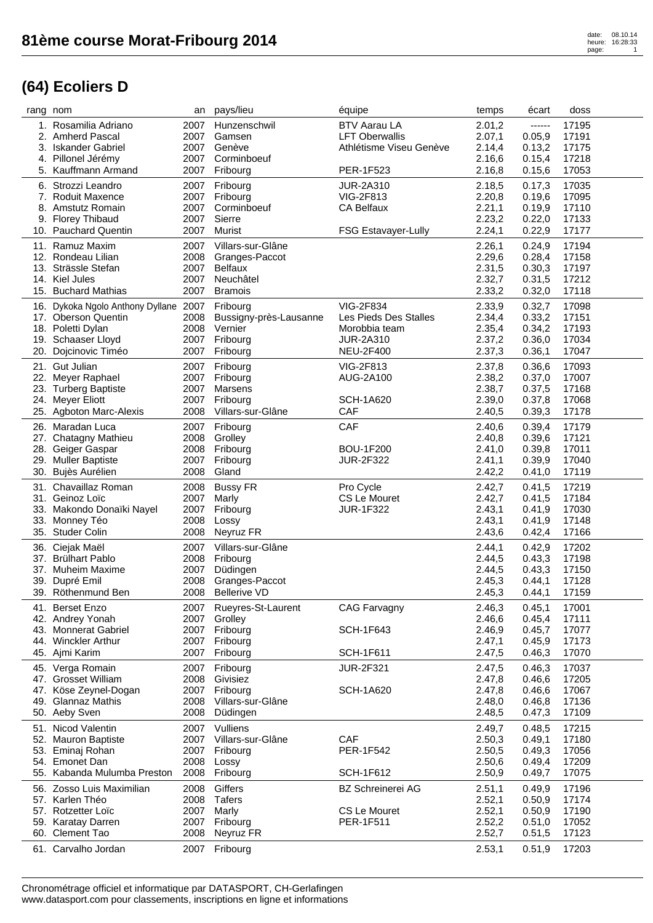| rang nom |                                       | an   | pays/lieu              | équipe                     | temps  | écart  | doss  |
|----------|---------------------------------------|------|------------------------|----------------------------|--------|--------|-------|
|          | 1. Rosamilia Adriano                  | 2007 | Hunzenschwil           | <b>BTV Aarau LA</b>        | 2.01,2 | ------ | 17195 |
|          | 2. Amherd Pascal                      | 2007 | Gamsen                 | <b>LFT Oberwallis</b>      | 2.07,1 | 0.05,9 | 17191 |
|          | 3. Iskander Gabriel                   | 2007 | Genève                 | Athlétisme Viseu Genève    | 2.14,4 | 0.13,2 | 17175 |
|          | 4. Pillonel Jérémy                    | 2007 | Corminboeuf            |                            | 2.16,6 | 0.15,4 | 17218 |
|          | 5. Kauffmann Armand                   | 2007 | Fribourg               | PER-1F523                  | 2.16,8 | 0.15,6 | 17053 |
|          | 6. Strozzi Leandro                    | 2007 | Fribourg               | <b>JUR-2A310</b>           | 2.18,5 | 0.17,3 | 17035 |
|          | 7. Roduit Maxence                     | 2007 | Fribourg               | VIG-2F813                  | 2.20,8 | 0.19,6 | 17095 |
|          | 8. Amstutz Romain                     | 2007 | Corminboeuf            | <b>CA Belfaux</b>          | 2.21,1 | 0.19,9 | 17110 |
|          | 9. Florey Thibaud                     | 2007 | Sierre                 |                            | 2.23,2 | 0.22,0 | 17133 |
|          | 10. Pauchard Quentin                  | 2007 | Murist                 | <b>FSG Estavayer-Lully</b> | 2.24,1 | 0.22,9 | 17177 |
|          | 11. Ramuz Maxim                       | 2007 | Villars-sur-Glâne      |                            | 2.26,1 | 0.24,9 | 17194 |
|          | 12. Rondeau Lilian                    | 2008 | Granges-Paccot         |                            | 2.29,6 | 0.28,4 | 17158 |
|          | 13. Strässle Stefan                   | 2007 | <b>Belfaux</b>         |                            | 2.31,5 | 0.30,3 | 17197 |
|          | 14. Kiel Jules                        | 2007 | Neuchâtel              |                            | 2.32,7 | 0.31,5 | 17212 |
|          | 15. Buchard Mathias                   | 2007 | <b>Bramois</b>         |                            | 2.33,2 | 0.32,0 | 17118 |
|          | 16. Dykoka Ngolo Anthony Dyllane 2007 |      | Fribourg               | <b>VIG-2F834</b>           | 2.33,9 | 0.32,7 | 17098 |
|          | 17. Oberson Quentin                   | 2008 | Bussigny-près-Lausanne | Les Pieds Des Stalles      | 2.34,4 | 0.33,2 | 17151 |
|          | 18. Poletti Dylan                     | 2008 | Vernier                | Morobbia team              | 2.35,4 | 0.34,2 | 17193 |
|          | 19. Schaaser Lloyd                    | 2007 | Fribourg               | <b>JUR-2A310</b>           | 2.37,2 | 0.36,0 | 17034 |
|          | 20. Dojcinovic Timéo                  | 2007 | Fribourg               | <b>NEU-2F400</b>           | 2.37,3 | 0.36,1 | 17047 |
|          |                                       |      |                        |                            |        |        |       |
|          | 21. Gut Julian                        | 2007 | Fribourg               | <b>VIG-2F813</b>           | 2.37,8 | 0.36,6 | 17093 |
|          | 22. Meyer Raphael                     | 2007 | Fribourg               | AUG-2A100                  | 2.38,2 | 0.37,0 | 17007 |
|          | 23. Turberg Baptiste                  | 2007 | Marsens                |                            | 2.38,7 | 0.37,5 | 17168 |
|          | 24. Meyer Eliott                      | 2007 | Fribourg               | <b>SCH-1A620</b>           | 2.39,0 | 0.37,8 | 17068 |
|          | 25. Agboton Marc-Alexis               | 2008 | Villars-sur-Glâne      | <b>CAF</b>                 | 2.40,5 | 0.39,3 | 17178 |
|          | 26. Maradan Luca                      | 2007 | Fribourg               | CAF                        | 2.40,6 | 0.39,4 | 17179 |
|          | 27. Chatagny Mathieu                  | 2008 | Grolley                |                            | 2.40,8 | 0.39,6 | 17121 |
|          | 28. Geiger Gaspar                     | 2008 | Fribourg               | <b>BOU-1F200</b>           | 2.41,0 | 0.39,8 | 17011 |
|          | 29. Muller Baptiste                   | 2007 | Fribourg               | <b>JUR-2F322</b>           | 2.41,1 | 0.39,9 | 17040 |
|          | 30. Bujès Aurélien                    | 2008 | Gland                  |                            | 2.42,2 | 0.41,0 | 17119 |
|          | 31. Chavaillaz Roman                  | 2008 | <b>Bussy FR</b>        | Pro Cycle                  | 2.42,7 | 0.41,5 | 17219 |
|          | 31. Geinoz Loïc                       | 2007 | Marly                  | CS Le Mouret               | 2.42,7 | 0.41,5 | 17184 |
|          | 33. Makondo Donaïki Nayel             | 2007 | Fribourg               | <b>JUR-1F322</b>           | 2.43,1 | 0.41,9 | 17030 |
|          | 33. Monney Téo                        | 2008 | Lossy                  |                            | 2.43,1 | 0.41,9 | 17148 |
|          | 35. Studer Colin                      | 2008 | Neyruz FR              |                            | 2.43,6 | 0.42,4 | 17166 |
|          | 36. Ciejak Maël                       | 2007 | Villars-sur-Glâne      |                            | 2.44,1 | 0.42,9 | 17202 |
|          | 37. Brülhart Pablo                    | 2008 | Fribourg               |                            | 2.44,5 | 0.43,3 | 17198 |
|          | 37. Muheim Maxime                     | 2007 | Düdingen               |                            | 2.44,5 | 0.43,3 | 17150 |
|          | 39. Dupré Emil                        | 2008 | Granges-Paccot         |                            | 2.45,3 | 0.44,1 | 17128 |
|          | 39. Röthenmund Ben                    | 2008 | <b>Bellerive VD</b>    |                            | 2.45,3 | 0.44,1 | 17159 |
|          | 41. Berset Enzo                       | 2007 | Rueyres-St-Laurent     | <b>CAG Farvagny</b>        | 2.46,3 | 0.45,1 | 17001 |
|          | 42. Andrey Yonah                      | 2007 | Grolley                |                            | 2.46,6 | 0.45,4 | 17111 |
|          | 43. Monnerat Gabriel                  | 2007 | Fribourg               | <b>SCH-1F643</b>           | 2.46,9 | 0.45,7 | 17077 |
|          | 44. Winckler Arthur                   | 2007 | Fribourg               |                            | 2.47,1 | 0.45,9 | 17173 |
|          | 45. Ajmi Karim                        | 2007 | Fribourg               | <b>SCH-1F611</b>           | 2.47,5 | 0.46,3 | 17070 |
|          | 45. Verga Romain                      | 2007 | Fribourg               | <b>JUR-2F321</b>           | 2.47,5 | 0.46,3 | 17037 |
|          | 47. Grosset William                   | 2008 | Givisiez               |                            | 2.47,8 | 0.46,6 | 17205 |
|          | 47. Köse Zeynel-Dogan                 | 2007 | Fribourg               | <b>SCH-1A620</b>           | 2.47,8 | 0.46,6 | 17067 |
|          | 49. Glannaz Mathis                    | 2008 | Villars-sur-Glâne      |                            | 2.48,0 | 0.46,8 | 17136 |
|          | 50. Aeby Sven                         | 2008 | Düdingen               |                            | 2.48,5 | 0.47,3 | 17109 |
|          |                                       |      |                        |                            |        |        |       |
|          | 51. Nicod Valentin                    | 2007 | Vulliens               |                            | 2.49,7 | 0.48,5 | 17215 |
|          | 52. Mauron Baptiste                   | 2007 | Villars-sur-Glâne      | <b>CAF</b>                 | 2.50,3 | 0.49,1 | 17180 |
|          | 53. Eminaj Rohan                      | 2007 | Fribourg               | PER-1F542                  | 2.50,5 | 0.49,3 | 17056 |
|          | 54. Emonet Dan                        | 2008 | Lossy                  |                            | 2.50,6 | 0.49,4 | 17209 |
|          | 55. Kabanda Mulumba Preston           | 2008 | Fribourg               | <b>SCH-1F612</b>           | 2.50,9 | 0.49,7 | 17075 |
|          | 56. Zosso Luis Maximilian             | 2008 | Giffers                | <b>BZ Schreinerei AG</b>   | 2.51,1 | 0.49,9 | 17196 |
|          | 57. Karlen Théo                       | 2008 | <b>Tafers</b>          |                            | 2.52,1 | 0.50,9 | 17174 |
|          | 57. Rotzetter Loïc                    | 2007 | Marly                  | CS Le Mouret               | 2.52,1 | 0.50,9 | 17190 |
|          | 59. Karatay Darren                    | 2007 | Fribourg               | PER-1F511                  | 2.52,2 | 0.51,0 | 17052 |
|          | 60. Clement Tao                       | 2008 | Neyruz FR              |                            | 2.52,7 | 0.51,5 | 17123 |
|          | 61. Carvalho Jordan                   | 2007 | Fribourg               |                            | 2.53,1 | 0.51,9 | 17203 |
|          |                                       |      |                        |                            |        |        |       |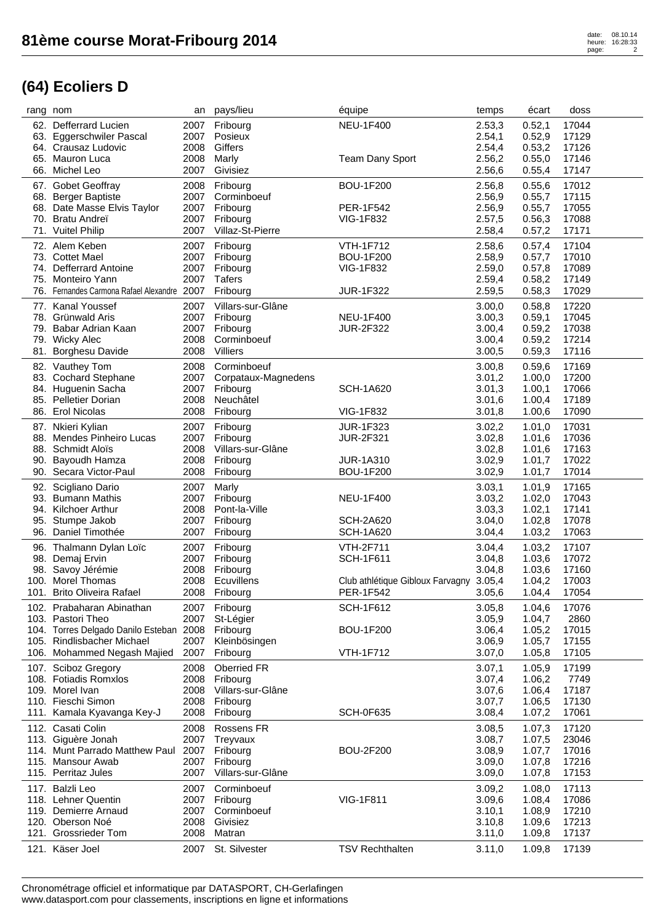| rang nom |                                             | an   | pays/lieu           | équipe                           | temps  | écart   | doss  |
|----------|---------------------------------------------|------|---------------------|----------------------------------|--------|---------|-------|
|          | 62. Defferrard Lucien                       | 2007 | Fribourg            | <b>NEU-1F400</b>                 | 2.53,3 | 0.52,1  | 17044 |
|          | 63. Eggerschwiler Pascal                    | 2007 | Posieux             |                                  | 2.54,1 | 0.52,9  | 17129 |
|          | 64. Crausaz Ludovic                         | 2008 | Giffers             |                                  | 2.54,4 | 0.53,2  | 17126 |
|          | 65. Mauron Luca                             | 2008 | Marly               | <b>Team Dany Sport</b>           | 2.56,2 | 0.55,0  | 17146 |
|          | 66. Michel Leo                              | 2007 | Givisiez            |                                  | 2.56,6 | 0.55,4  | 17147 |
|          | 67. Gobet Geoffray                          | 2008 | Fribourg            | <b>BOU-1F200</b>                 | 2.56,8 | 0.55, 6 | 17012 |
|          | 68. Berger Baptiste                         | 2007 | Corminboeuf         |                                  | 2.56,9 | 0.55,7  | 17115 |
|          | 68. Date Masse Elvis Taylor                 | 2007 | Fribourg            | PER-1F542                        | 2.56,9 | 0.55,7  | 17055 |
|          | 70. Bratu Andreï                            | 2007 | Fribourg            | <b>VIG-1F832</b>                 | 2.57,5 | 0.56,3  | 17088 |
|          | 71. Vuitel Philip                           | 2007 | Villaz-St-Pierre    |                                  | 2.58,4 | 0.57,2  | 17171 |
|          | 72. Alem Keben                              | 2007 | Fribourg            | <b>VTH-1F712</b>                 | 2.58,6 | 0.57,4  | 17104 |
|          | 73. Cottet Mael                             | 2007 | Fribourg            | <b>BOU-1F200</b>                 | 2.58,9 | 0.57,7  | 17010 |
|          | 74. Defferrard Antoine                      | 2007 | Fribourg            | <b>VIG-1F832</b>                 | 2.59,0 | 0.57,8  | 17089 |
| 75.      | Monteiro Yann                               | 2007 | <b>Tafers</b>       |                                  | 2.59,4 | 0.58,2  | 17149 |
|          | 76. Fernandes Carmona Rafael Alexandre 2007 |      | Fribourg            | <b>JUR-1F322</b>                 | 2.59,5 | 0.58,3  | 17029 |
| 77.      | <b>Kanal Youssef</b>                        | 2007 | Villars-sur-Glâne   |                                  | 3.00,0 | 0.58,8  | 17220 |
|          | 78. Grünwald Aris                           | 2007 | Fribourg            | <b>NEU-1F400</b>                 | 3.00,3 | 0.59,1  | 17045 |
|          | 79. Babar Adrian Kaan                       | 2007 | Fribourg            | <b>JUR-2F322</b>                 | 3.00,4 | 0.59,2  | 17038 |
|          | 79. Wicky Alec                              | 2008 | Corminboeuf         |                                  | 3.00,4 | 0.59,2  | 17214 |
| 81.      | <b>Borghesu Davide</b>                      | 2008 | Villiers            |                                  | 3.00,5 | 0.59,3  | 17116 |
|          | 82. Vauthey Tom                             | 2008 | Corminboeuf         |                                  | 3.00,8 | 0.59,6  | 17169 |
|          | 83. Cochard Stephane                        | 2007 | Corpataux-Magnedens |                                  | 3.01,2 | 1.00,0  | 17200 |
|          | 84. Huguenin Sacha                          | 2007 | Fribourg            | <b>SCH-1A620</b>                 | 3.01,3 | 1.00,1  | 17066 |
| 85.      | Pelletier Dorian                            | 2008 | Neuchâtel           |                                  | 3.01,6 | 1.00,4  | 17189 |
|          | 86. Erol Nicolas                            | 2008 | Fribourg            | <b>VIG-1F832</b>                 | 3.01,8 | 1.00,6  | 17090 |
|          | 87. Nkieri Kylian                           | 2007 | Fribourg            | <b>JUR-1F323</b>                 | 3.02,2 | 1.01,0  | 17031 |
|          | 88. Mendes Pinheiro Lucas                   | 2007 | Fribourg            | <b>JUR-2F321</b>                 | 3.02,8 | 1.01,6  | 17036 |
|          | 88. Schmidt Aloïs                           | 2008 | Villars-sur-Glâne   |                                  | 3.02,8 | 1.01,6  | 17163 |
| 90.      | Bayoudh Hamza                               | 2008 | Fribourg            | <b>JUR-1A310</b>                 | 3.02,9 | 1.01,7  | 17022 |
|          | 90. Secara Victor-Paul                      | 2008 | Fribourg            | <b>BOU-1F200</b>                 | 3.02,9 | 1.01,7  | 17014 |
|          | 92. Scigliano Dario                         | 2007 | Marly               |                                  | 3.03,1 | 1.01,9  | 17165 |
|          | 93. Bumann Mathis                           | 2007 | Fribourg            | <b>NEU-1F400</b>                 | 3.03,2 | 1.02,0  | 17043 |
|          | 94. Kilchoer Arthur                         | 2008 | Pont-la-Ville       |                                  | 3.03,3 | 1.02,1  | 17141 |
| 95.      | Stumpe Jakob                                | 2007 | Fribourg            | <b>SCH-2A620</b>                 | 3.04,0 | 1.02,8  | 17078 |
|          | 96. Daniel Timothée                         | 2007 | Fribourg            | <b>SCH-1A620</b>                 | 3.04,4 | 1.03,2  | 17063 |
|          | 96. Thalmann Dylan Loïc                     | 2007 | Fribourg            | <b>VTH-2F711</b>                 | 3.04,4 | 1.03,2  | 17107 |
|          | 98. Demaj Ervin                             | 2007 | Fribourg            | <b>SCH-1F611</b>                 | 3.04,8 | 1.03,6  | 17072 |
|          | 98. Savoy Jérémie                           | 2008 | Fribourg            |                                  | 3.04,8 | 1.03,6  | 17160 |
|          | 100. Morel Thomas                           | 2008 | Ecuvillens          | Club athlétique Gibloux Farvagny | 3.05,4 | 1.04,2  | 17003 |
| 101.     | <b>Brito Oliveira Rafael</b>                | 2008 | Fribourg            | PER-1F542                        | 3.05,6 | 1.04,4  | 17054 |
|          | 102. Prabaharan Abinathan                   | 2007 | Fribourg            | <b>SCH-1F612</b>                 | 3.05,8 | 1.04,6  | 17076 |
|          | 103. Pastori Theo                           | 2007 | St-Légier           |                                  | 3.05,9 | 1.04,7  | 2860  |
|          | 104. Torres Delgado Danilo Esteban 2008     |      | Fribourg            | <b>BOU-1F200</b>                 | 3.06,4 | 1.05,2  | 17015 |
|          | 105. Rindlisbacher Michael                  | 2007 | Kleinbösingen       |                                  | 3.06,9 | 1.05,7  | 17155 |
|          | 106. Mohammed Negash Majied                 | 2007 | Fribourg            | <b>VTH-1F712</b>                 | 3.07,0 | 1.05,8  | 17105 |
|          | 107. Sciboz Gregory                         | 2008 | Oberried FR         |                                  | 3.07,1 | 1.05,9  | 17199 |
|          | 108. Fotiadis Romxlos                       | 2008 | Fribourg            |                                  | 3.07,4 | 1.06,2  | 7749  |
|          | 109. Morel Ivan                             | 2008 | Villars-sur-Glâne   |                                  | 3.07,6 | 1.06,4  | 17187 |
|          | 110. Fieschi Simon                          | 2008 | Fribourg            |                                  | 3.07,7 | 1.06,5  | 17130 |
|          | 111. Kamala Kyavanga Key-J                  | 2008 | Fribourg            | <b>SCH-0F635</b>                 | 3.08,4 | 1.07,2  | 17061 |
|          | 112. Casati Colin                           | 2008 | Rossens FR          |                                  | 3.08,5 | 1.07,3  | 17120 |
|          | 113. Giguère Jonah                          | 2007 | Treyvaux            |                                  | 3.08,7 | 1.07,5  | 23046 |
|          | 114. Munt Parrado Matthew Paul              | 2007 | Fribourg            | <b>BOU-2F200</b>                 | 3.08,9 | 1.07,7  | 17016 |
|          | 115. Mansour Awab                           | 2007 | Fribourg            |                                  | 3.09,0 | 1.07,8  | 17216 |
|          | 115. Perritaz Jules                         | 2007 | Villars-sur-Glâne   |                                  | 3.09,0 | 1.07,8  | 17153 |
|          | 117. Balzli Leo                             | 2007 | Corminboeuf         |                                  | 3.09,2 | 1.08,0  | 17113 |
|          | 118. Lehner Quentin                         | 2007 | Fribourg            | VIG-1F811                        | 3.09,6 | 1.08,4  | 17086 |
|          | 119. Demierre Arnaud                        | 2007 | Corminboeuf         |                                  | 3.10,1 | 1.08,9  | 17210 |
|          | 120. Oberson Noé                            | 2008 | Givisiez            |                                  | 3.10,8 | 1.09,6  | 17213 |
|          | 121. Grossrieder Tom                        | 2008 | Matran              |                                  | 3.11,0 | 1.09,8  | 17137 |
|          | 121. Käser Joel                             | 2007 | St. Silvester       | <b>TSV Rechthalten</b>           | 3.11,0 | 1.09,8  | 17139 |
|          |                                             |      |                     |                                  |        |         |       |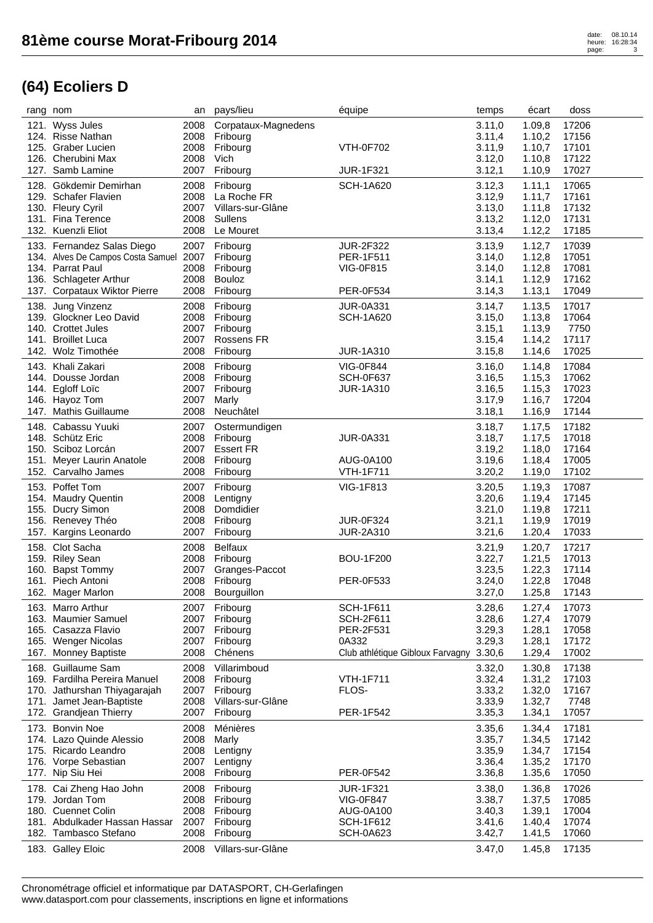|      | rang nom                               | an   | pays/lieu           | équipe                           | temps            | écart  | doss  |
|------|----------------------------------------|------|---------------------|----------------------------------|------------------|--------|-------|
|      | 121. Wyss Jules                        | 2008 | Corpataux-Magnedens |                                  | 3.11,0           | 1.09,8 | 17206 |
|      | 124. Risse Nathan                      | 2008 | Fribourg            |                                  | 3.11,4           | 1.10,2 | 17156 |
|      | 125. Graber Lucien                     | 2008 | Fribourg            | <b>VTH-0F702</b>                 | 3.11,9           | 1.10,7 | 17101 |
|      | 126. Cherubini Max                     | 2008 | Vich                |                                  | 3.12,0           | 1.10,8 | 17122 |
|      | 127. Samb Lamine                       | 2007 | Fribourg            | <b>JUR-1F321</b>                 | 3.12,1           | 1.10,9 | 17027 |
|      |                                        |      |                     |                                  |                  |        |       |
|      | 128. Gökdemir Demirhan                 | 2008 | Fribourg            | <b>SCH-1A620</b>                 | 3.12,3           | 1.11,1 | 17065 |
|      | 129. Schafer Flavien                   | 2008 | La Roche FR         |                                  | 3.12,9           | 1.11,7 | 17161 |
|      | 130. Fleury Cyril                      | 2007 | Villars-sur-Glâne   |                                  | 3.13,0           | 1.11,8 | 17132 |
|      | 131. Fina Terence                      | 2008 | <b>Sullens</b>      |                                  | 3.13,2           | 1.12,0 | 17131 |
|      | 132. Kuenzli Eliot                     | 2008 | Le Mouret           |                                  | 3.13,4           | 1.12,2 | 17185 |
|      | 133. Fernandez Salas Diego             | 2007 | Fribourg            | <b>JUR-2F322</b>                 | 3.13,9           | 1.12,7 | 17039 |
|      | 134. Alves De Campos Costa Samuel 2007 |      | Fribourg            | PER-1F511                        | 3.14,0           | 1.12,8 | 17051 |
|      | 134. Parrat Paul                       | 2008 | Fribourg            | <b>VIG-0F815</b>                 | 3.14,0           | 1.12,8 | 17081 |
|      | 136. Schlageter Arthur                 | 2008 | Bouloz              |                                  | 3.14,1           | 1.12,9 | 17162 |
|      | 137. Corpataux Wiktor Pierre           | 2008 | Fribourg            | PER-0F534                        | 3.14,3           | 1.13,1 | 17049 |
|      |                                        |      |                     |                                  |                  |        |       |
|      | 138. Jung Vinzenz                      | 2008 | Fribourg            | <b>JUR-0A331</b>                 | 3.14,7           | 1.13,5 | 17017 |
|      | 139. Glockner Leo David                | 2008 | Fribourg            | <b>SCH-1A620</b>                 | 3.15,0           | 1.13,8 | 17064 |
|      | 140. Crottet Jules                     | 2007 | Fribourg            |                                  | 3.15,1           | 1.13,9 | 7750  |
|      | 141. Broillet Luca                     | 2007 | Rossens FR          |                                  | 3.15,4           | 1.14,2 | 17117 |
|      | 142. Wolz Timothée                     | 2008 | Fribourg            | <b>JUR-1A310</b>                 | 3.15,8           | 1.14,6 | 17025 |
|      | 143. Khali Zakari                      | 2008 | Fribourg            | <b>VIG-0F844</b>                 | 3.16,0           | 1.14,8 | 17084 |
|      | 144. Dousse Jordan                     |      |                     | <b>SCH-0F637</b>                 |                  |        |       |
|      |                                        | 2008 | Fribourg            |                                  | 3.16,5           | 1.15,3 | 17062 |
|      | 144. Egloff Loïc                       | 2007 | Fribourg            | <b>JUR-1A310</b>                 | 3.16,5           | 1.15,3 | 17023 |
|      | 146. Hayoz Tom                         | 2007 | Marly               |                                  | 3.17,9           | 1.16,7 | 17204 |
|      | 147. Mathis Guillaume                  | 2008 | Neuchâtel           |                                  | 3.18,1           | 1.16,9 | 17144 |
|      | 148. Cabassu Yuuki                     | 2007 | Ostermundigen       |                                  | 3.18,7           | 1.17,5 | 17182 |
|      | 148. Schütz Eric                       | 2008 | Fribourg            | <b>JUR-0A331</b>                 | 3.18,7           | 1.17,5 | 17018 |
|      | 150. Sciboz Lorcán                     | 2007 | <b>Essert FR</b>    |                                  | 3.19,2           | 1.18,0 | 17164 |
| 151. | Meyer Laurin Anatole                   | 2008 | Fribourg            | AUG-0A100                        | 3.19,6           | 1.18,4 | 17005 |
|      | 152. Carvalho James                    | 2008 | Fribourg            | <b>VTH-1F711</b>                 | 3.20,2           | 1.19,0 | 17102 |
|      |                                        |      |                     |                                  |                  |        |       |
|      | 153. Poffet Tom                        | 2007 | Fribourg            | VIG-1F813                        | 3.20,5           | 1.19,3 | 17087 |
|      | 154. Maudry Quentin                    | 2008 | Lentigny            |                                  | 3.20,6           | 1.19,4 | 17145 |
| 155. | Ducry Simon                            | 2008 | Domdidier           |                                  | 3.21,0           | 1.19,8 | 17211 |
|      | 156. Renevey Théo                      | 2008 | Fribourg            | <b>JUR-0F324</b>                 | 3.21,1           | 1.19,9 | 17019 |
| 157. | Kargins Leonardo                       | 2007 | Fribourg            | <b>JUR-2A310</b>                 | 3.21,6           | 1.20,4 | 17033 |
|      | 158. Clot Sacha                        | 2008 | <b>Belfaux</b>      |                                  |                  | 1.20,7 | 17217 |
|      |                                        |      |                     |                                  | 3.21,9<br>3.22,7 |        |       |
|      | 159. Riley Sean                        | 2008 | Fribourg            | <b>BOU-1F200</b>                 |                  | 1.21,5 | 17013 |
|      | 160. Bapst Tommy                       | 2007 | Granges-Paccot      |                                  | 3.23,5           | 1.22,3 | 17114 |
|      | 161. Piech Antoni                      | 2008 | Fribourg            | PER-0F533                        | 3.24,0           | 1.22,8 | 17048 |
|      | 162. Mager Marlon                      | 2008 | Bourguillon         |                                  | 3.27,0           | 1.25,8 | 17143 |
|      | 163. Marro Arthur                      | 2007 | Fribourg            | <b>SCH-1F611</b>                 | 3.28,6           | 1.27,4 | 17073 |
|      | 163. Maumier Samuel                    | 2007 | Fribourg            | <b>SCH-2F611</b>                 | 3.28,6           | 1.27,4 | 17079 |
|      | 165. Casazza Flavio                    | 2007 | Fribourg            | PER-2F531                        | 3.29,3           | 1.28,1 | 17058 |
|      | 165. Wenger Nicolas                    | 2007 | Fribourg            | 0A332                            | 3.29,3           | 1.28,1 | 17172 |
|      | 167. Monney Baptiste                   | 2008 | Chénens             | Club athlétique Gibloux Farvagny | 3.30,6           | 1.29,4 | 17002 |
|      |                                        |      |                     |                                  |                  |        |       |
|      | 168. Guillaume Sam                     | 2008 | Villarimboud        |                                  | 3.32,0           | 1.30,8 | 17138 |
|      | 169. Fardilha Pereira Manuel           | 2008 | Fribourg            | <b>VTH-1F711</b>                 | 3.32,4           | 1.31,2 | 17103 |
|      | 170. Jathurshan Thiyagarajah           | 2007 | Fribourg            | FLOS-                            | 3.33,2           | 1.32,0 | 17167 |
|      | 171. Jamet Jean-Baptiste               | 2008 | Villars-sur-Glâne   |                                  | 3.33,9           | 1.32,7 | 7748  |
|      | 172. Grandjean Thierry                 | 2007 | Fribourg            | PER-1F542                        | 3.35,3           | 1.34,1 | 17057 |
|      | 173. Bonvin Noe                        | 2008 | Ménières            |                                  | 3.35,6           | 1.34,4 | 17181 |
|      | 174. Lazo Quinde Alessio               | 2008 | Marly               |                                  | 3.35,7           | 1.34,5 | 17142 |
|      | 175. Ricardo Leandro                   | 2008 | Lentigny            |                                  | 3.35,9           | 1.34,7 | 17154 |
|      |                                        |      |                     |                                  |                  |        |       |
|      | 176. Vorpe Sebastian                   | 2007 | Lentigny            |                                  | 3.36,4           | 1.35,2 | 17170 |
|      | 177. Nip Siu Hei                       | 2008 | Fribourg            | <b>PER-0F542</b>                 | 3.36,8           | 1.35,6 | 17050 |
|      | 178. Cai Zheng Hao John                | 2008 | Fribourg            | <b>JUR-1F321</b>                 | 3.38,0           | 1.36,8 | 17026 |
|      | 179. Jordan Tom                        | 2008 | Fribourg            | <b>VIG-0F847</b>                 | 3.38,7           | 1.37,5 | 17085 |
|      | 180. Cuennet Colin                     | 2008 | Fribourg            | AUG-0A100                        | 3.40,3           | 1.39,1 | 17004 |
|      | 181. Abdulkader Hassan Hassar          | 2007 | Fribourg            | <b>SCH-1F612</b>                 | 3.41,6           | 1.40,4 | 17074 |
|      | 182. Tambasco Stefano                  | 2008 | Fribourg            | <b>SCH-0A623</b>                 | 3.42,7           | 1.41,5 | 17060 |
|      |                                        |      |                     |                                  |                  |        |       |
|      | 183. Galley Eloic                      | 2008 | Villars-sur-Glâne   |                                  | 3.47,0           | 1.45,8 | 17135 |